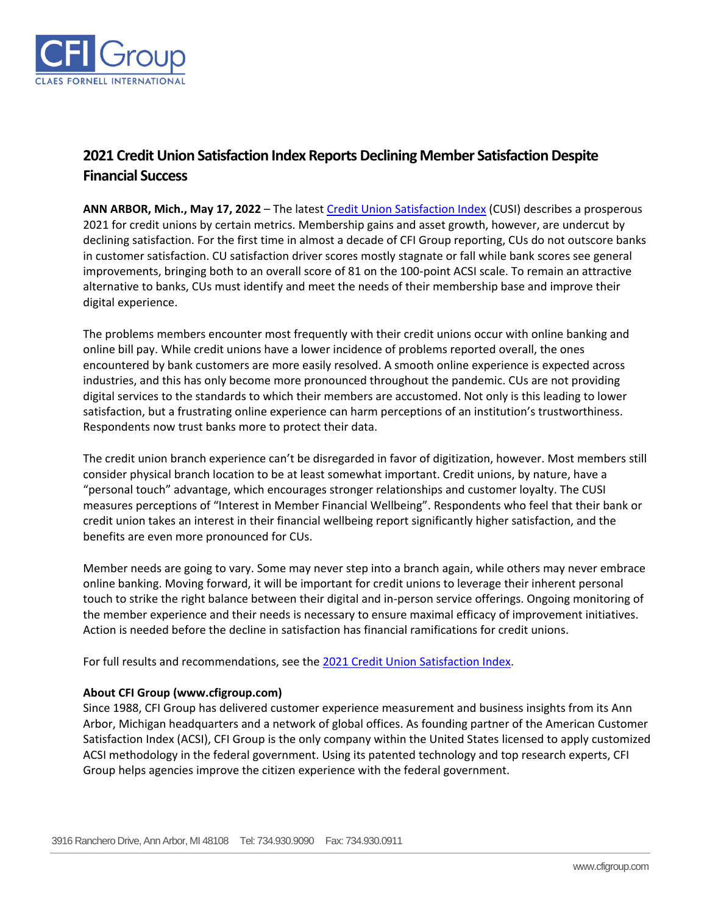

## **2021 Credit Union Satisfaction Index Reports Declining Member Satisfaction Despite Financial Success**

**ANN ARBOR, Mich., May 17, 2022** – The latest [Credit Union Satisfaction Index](https://cfigroup.com/resource-item/credit-union-customer-satisfaction-index-2021/) (CUSI) describes a prosperous 2021 for credit unions by certain metrics. Membership gains and asset growth, however, are undercut by declining satisfaction. For the first time in almost a decade of CFI Group reporting, CUs do not outscore banks in customer satisfaction. CU satisfaction driver scores mostly stagnate or fall while bank scores see general improvements, bringing both to an overall score of 81 on the 100-point ACSI scale. To remain an attractive alternative to banks, CUs must identify and meet the needs of their membership base and improve their digital experience.

The problems members encounter most frequently with their credit unions occur with online banking and online bill pay. While credit unions have a lower incidence of problems reported overall, the ones encountered by bank customers are more easily resolved. A smooth online experience is expected across industries, and this has only become more pronounced throughout the pandemic. CUs are not providing digital services to the standards to which their members are accustomed. Not only is this leading to lower satisfaction, but a frustrating online experience can harm perceptions of an institution's trustworthiness. Respondents now trust banks more to protect their data.

The credit union branch experience can't be disregarded in favor of digitization, however. Most members still consider physical branch location to be at least somewhat important. Credit unions, by nature, have a "personal touch" advantage, which encourages stronger relationships and customer loyalty. The CUSI measures perceptions of "Interest in Member Financial Wellbeing". Respondents who feel that their bank or credit union takes an interest in their financial wellbeing report significantly higher satisfaction, and the benefits are even more pronounced for CUs.

Member needs are going to vary. Some may never step into a branch again, while others may never embrace online banking. Moving forward, it will be important for credit unions to leverage their inherent personal touch to strike the right balance between their digital and in-person service offerings. Ongoing monitoring of the member experience and their needs is necessary to ensure maximal efficacy of improvement initiatives. Action is needed before the decline in satisfaction has financial ramifications for credit unions.

For full results and recommendations, see th[e 2021 Credit Union Satisfaction Index.](https://cfigroup.com/resource-item/credit-union-customer-satisfaction-index-2021/)

## **About CFI Group (www.cfigroup.com)**

Since 1988, CFI Group has delivered customer experience measurement and business insights from its Ann Arbor, Michigan headquarters and a network of global offices. As founding partner of the American Customer Satisfaction Index (ACSI), CFI Group is the only company within the United States licensed to apply customized ACSI methodology in the federal government. Using its patented technology and top research experts, CFI Group helps agencies improve the citizen experience with the federal government.